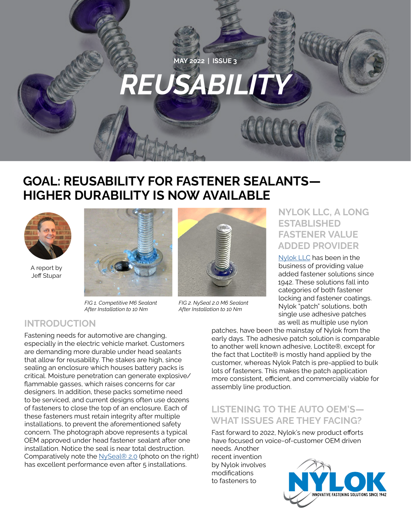

# **GOAL: REUSABILITY FOR FASTENER SEALANTS— HIGHER DURABILITY IS NOW AVAILABLE**



A report by Jeff Stupar



*FIG 1. Competitive M6 Sealant After Installation to 10 Nm*



*FIG 2. NySeal 2.0 M6 Sealant After Installation to 10 Nm*

#### **NYLOK LLC, A LONG ESTABLISHED FASTENER VALUE ADDED PROVIDER**

[Nylok LLC](https://www.nylok.com) has been in the business of providing value added fastener solutions since 1942. These solutions fall into categories of both fastener locking and fastener coatings. Nylok "patch" solutions, both single use adhesive patches as well as multiple use nylon

## **INTRODUCTION**

Fastening needs for automotive are changing, especially in the electric vehicle market. Customers are demanding more durable under head sealants that allow for reusability. The stakes are high, since sealing an enclosure which houses battery packs is critical. Moisture penetration can generate explosive/ flammable gasses, which raises concerns for car designers. In addition, these packs sometime need to be serviced, and current designs often use dozens of fasteners to close the top of an enclosure. Each of these fasteners must retain integrity after multiple installations, to prevent the aforementioned safety concern. The photograph above represents a typical OEM approved under head fastener sealant after one installation. Notice the seal is near total destruction. Comparatively note the [NySeal® 2.0](https://nylok.com/pre-applied-processes/under-head-sealants/nyseal-2-0/) (photo on the right) has excellent performance even after 5 installations.

patches, have been the mainstay of Nylok from the early days. The adhesive patch solution is comparable to another well known adhesive, Loctite®, except for the fact that Loctite® is mostly hand applied by the customer, whereas Nylok Patch is pre-applied to bulk lots of fasteners. This makes the patch application more consistent, efficient, and commercially viable for assembly line production.

## **LISTENING TO THE AUTO OEM'S— WHAT ISSUES ARE THEY FACING?**

Fast forward to 2022, Nylok's new product efforts have focused on voice-of-customer OEM driven needs. Another

recent invention by Nylok involves modifications to fasteners to

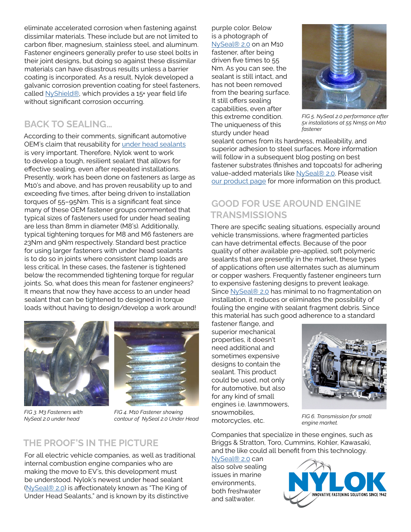eliminate accelerated corrosion when fastening against dissimilar materials. These include but are not limited to carbon fiber, magnesium, stainless steel, and aluminum. Fastener engineers generally prefer to use steel bolts in their joint designs, but doing so against these dissimilar materials can have disastrous results unless a barrier coating is incorporated. As a result, Nylok developed a galvanic corrosion prevention coating for steel fasteners, called [NyShield®,](https://nylok.com/pre-applied-processes/nyshield/) which provides a 15+ year field life without significant corrosion occurring.

#### **BACK TO SEALING…**

According to their comments, significant automotive OEM's claim that reusability for [under head sealants](https://nylok.com/pre-applied-processes/under-head-sealants/) is very important. Therefore, Nylok went to work to develop a tough, resilient sealant that allows for effective sealing, even after repeated installations. Presently, work has been done on fasteners as large as M10's and above, and has proven reusability up to and exceeding five times, after being driven to installation torques of 55–95Nm. This is a significant feat since many of these OEM fastener groups commented that typical sizes of fasteners used for under head sealing are less than 8mm in diameter (M8's). Additionally, typical tightening torques for M8 and M6 fasteners are 23Nm and 9Nm respectively. Standard best practice for using larger fasteners with under head sealants is to do so in joints where consistent clamp loads are less critical. In these cases, the fastener is tightened below the recommended tightening torque for regular joints. So, what does this mean for fastener engineers? It means that now they have access to an under head sealant that can be tightened to designed in torque loads without having to design/develop a work around!



*FIG 3. M3 Fasteners with NySeal 2.0 under head*



*FIG 4. M10 Fastener showing contour of NySeal 2.0 Under Head*

## **THE PROOF'S IN THE PICTURE**

For all electric vehicle companies, as well as traditional internal combustion engine companies who are making the move to EV's, this development must be understood. Nylok's newest under head sealant ([NySeal® 2.0](https://nylok.com/pre-applied-processes/under-head-sealants/nyseal-2-0/)) is affectionately known as "The King of Under Head Sealants," and is known by its distinctive

purple color. Below is a photograph of [NySeal® 2.0](https://nylok.com/pre-applied-processes/under-head-sealants/nyseal-2-0/) on an M10 fastener, after being driven five times to 55 Nm. As you can see, the sealant is still intact, and has not been removed from the bearing surface. It still offers sealing capabilities, even after this extreme condition. The uniqueness of this sturdy under head



*FIG 5. NySeal 2.0 performance after 5x installations at 55 Nm55 on M10 fastener*

sealant comes from its hardness, malleability, and superior adhesion to steel surfaces. More information will follow in a subsequent blog posting on best fastener substrates (finishes and topcoats) for adhering value-added materials like [NySeal® 2.0](https://nylok.com/pre-applied-processes/under-head-sealants/nyseal-2-0/). Please visit [our product page](https://nylok.com/pre-applied-processes/under-head-sealants/nyseal-2-0/) for more information on this product.

### **GOOD FOR USE AROUND ENGINE TRANSMISSIONS**

There are specific sealing situations, especially around vehicle transmissions, where fragmented particles can have detrimental effects. Because of the poor quality of other available pre-applied, soft polymeric sealants that are presently in the market, these types of applications often use alternates such as aluminum or copper washers. Frequently fastener engineers turn to expensive fastening designs to prevent leakage. Since [NySeal® 2.0](https://nylok.com/pre-applied-processes/under-head-sealants/nyseal-2-0/) has minimal to no fragmentation on installation, it reduces or eliminates the possibility of fouling the engine with sealant fragment debris. Since this material has such good adherence to a standard

fastener flange, and superior mechanical properties, it doesn't need additional and sometimes expensive designs to contain the sealant. This product could be used, not only for automotive, but also for any kind of small engines i.e. lawnmowers, snowmobiles, motorcycles, etc.



*FIG 6. Transmission for small engine market.*

Companies that specialize in these engines, such as Briggs & Stratton, Toro, Cummins, Kohler, Kawasaki, and the like could all benefit from this technology.

[NySeal® 2.0](https://nylok.com/pre-applied-processes/under-head-sealants/nyseal-2-0/) can also solve sealing issues in marine environments, both freshwater and saltwater.